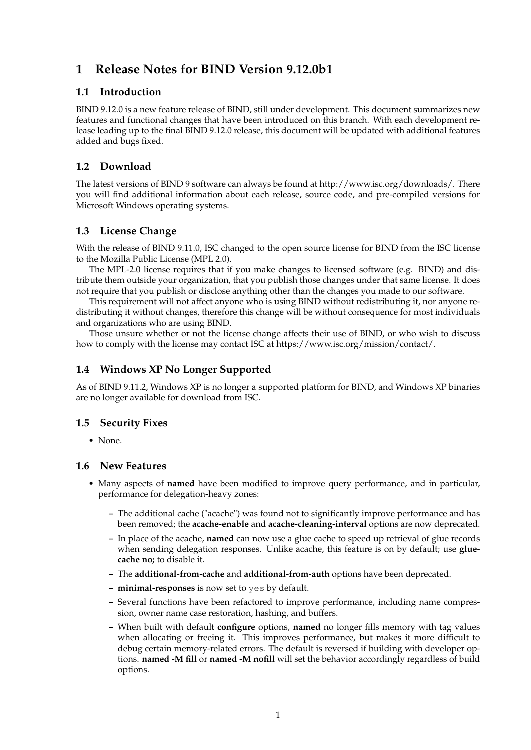# **1 Release Notes for BIND Version 9.12.0b1**

## **1.1 Introduction**

BIND 9.12.0 is a new feature release of BIND, still under development. This document summarizes new features and functional changes that have been introduced on this branch. With each development release leading up to the final BIND 9.12.0 release, this document will be updated with additional features added and bugs fixed.

# **1.2 Download**

The latest versions of BIND 9 software can always be found at http://www.isc.org/downloads/. There you will find additional information about each release, source code, and pre-compiled versions for Microsoft Windows operating systems.

# **1.3 License Change**

With the release of BIND 9.11.0, ISC changed to the open source license for BIND from the ISC license to the Mozilla Public License (MPL 2.0).

The MPL-2.0 license requires that if you make changes to licensed software (e.g. BIND) and distribute them outside your organization, that you publish those changes under that same license. It does not require that you publish or disclose anything other than the changes you made to our software.

This requirement will not affect anyone who is using BIND without redistributing it, nor anyone redistributing it without changes, therefore this change will be without consequence for most individuals and organizations who are using BIND.

Those unsure whether or not the license change affects their use of BIND, or who wish to discuss how to comply with the license may contact ISC at https://www.isc.org/mission/contact/.

# **1.4 Windows XP No Longer Supported**

As of BIND 9.11.2, Windows XP is no longer a supported platform for BIND, and Windows XP binaries are no longer available for download from ISC.

# **1.5 Security Fixes**

• None.

#### **1.6 New Features**

- Many aspects of **named** have been modified to improve query performance, and in particular, performance for delegation-heavy zones:
	- **–** The additional cache ("acache") was found not to significantly improve performance and has been removed; the **acache-enable** and **acache-cleaning-interval** options are now deprecated.
	- **–** In place of the acache, **named** can now use a glue cache to speed up retrieval of glue records when sending delegation responses. Unlike acache, this feature is on by default; use **gluecache no;** to disable it.
	- **–** The **additional-from-cache** and **additional-from-auth** options have been deprecated.
	- **– minimal-responses** is now set to yes by default.
	- **–** Several functions have been refactored to improve performance, including name compression, owner name case restoration, hashing, and buffers.
	- **–** When built with default **configure** options, **named** no longer fills memory with tag values when allocating or freeing it. This improves performance, but makes it more difficult to debug certain memory-related errors. The default is reversed if building with developer options. **named -M fill** or **named -M nofill** will set the behavior accordingly regardless of build options.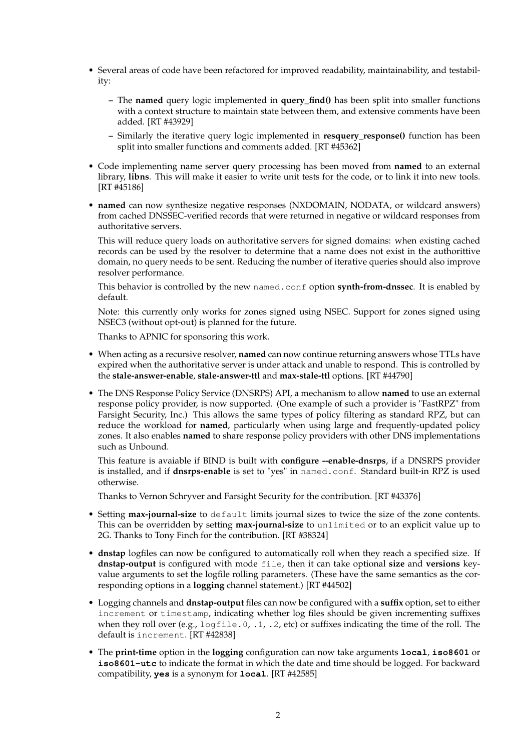- Several areas of code have been refactored for improved readability, maintainability, and testability:
	- **–** The **named** query logic implemented in **query\_find()** has been split into smaller functions with a context structure to maintain state between them, and extensive comments have been added. [RT #43929]
	- **–** Similarly the iterative query logic implemented in **resquery\_response()** function has been split into smaller functions and comments added. [RT #45362]
- Code implementing name server query processing has been moved from **named** to an external library, **libns**. This will make it easier to write unit tests for the code, or to link it into new tools. [RT #45186]
- **named** can now synthesize negative responses (NXDOMAIN, NODATA, or wildcard answers) from cached DNSSEC-verified records that were returned in negative or wildcard responses from authoritative servers.

This will reduce query loads on authoritative servers for signed domains: when existing cached records can be used by the resolver to determine that a name does not exist in the authorittive domain, no query needs to be sent. Reducing the number of iterative queries should also improve resolver performance.

This behavior is controlled by the new named.conf option **synth-from-dnssec**. It is enabled by default.

Note: this currently only works for zones signed using NSEC. Support for zones signed using NSEC3 (without opt-out) is planned for the future.

Thanks to APNIC for sponsoring this work.

- When acting as a recursive resolver, **named** can now continue returning answers whose TTLs have expired when the authoritative server is under attack and unable to respond. This is controlled by the **stale-answer-enable**, **stale-answer-ttl** and **max-stale-ttl** options. [RT #44790]
- The DNS Response Policy Service (DNSRPS) API, a mechanism to allow **named** to use an external response policy provider, is now supported. (One example of such a provider is "FastRPZ" from Farsight Security, Inc.) This allows the same types of policy filtering as standard RPZ, but can reduce the workload for **named**, particularly when using large and frequently-updated policy zones. It also enables **named** to share response policy providers with other DNS implementations such as Unbound.

This feature is avaiable if BIND is built with **configure --enable-dnsrps**, if a DNSRPS provider is installed, and if **dnsrps-enable** is set to "yes" in named.conf. Standard built-in RPZ is used otherwise.

Thanks to Vernon Schryver and Farsight Security for the contribution. [RT #43376]

- Setting **max-journal-size** to default limits journal sizes to twice the size of the zone contents. This can be overridden by setting **max-journal-size** to unlimited or to an explicit value up to 2G. Thanks to Tony Finch for the contribution. [RT #38324]
- **dnstap** logfiles can now be configured to automatically roll when they reach a specified size. If **dnstap-output** is configured with mode file, then it can take optional **size** and **versions** keyvalue arguments to set the logfile rolling parameters. (These have the same semantics as the corresponding options in a **logging** channel statement.) [RT #44502]
- Logging channels and **dnstap-output** files can now be configured with a **suffix** option, set to either increment or timestamp, indicating whether log files should be given incrementing suffixes when they roll over (e.g.,  $logfile.0, 1, 2, etc$ ) or suffixes indicating the time of the roll. The default is increment. [RT #42838]
- The **print-time** option in the **logging** configuration can now take arguments **local**, **iso8601** or **iso8601-utc** to indicate the format in which the date and time should be logged. For backward compatibility, **yes** is a synonym for **local**. [RT #42585]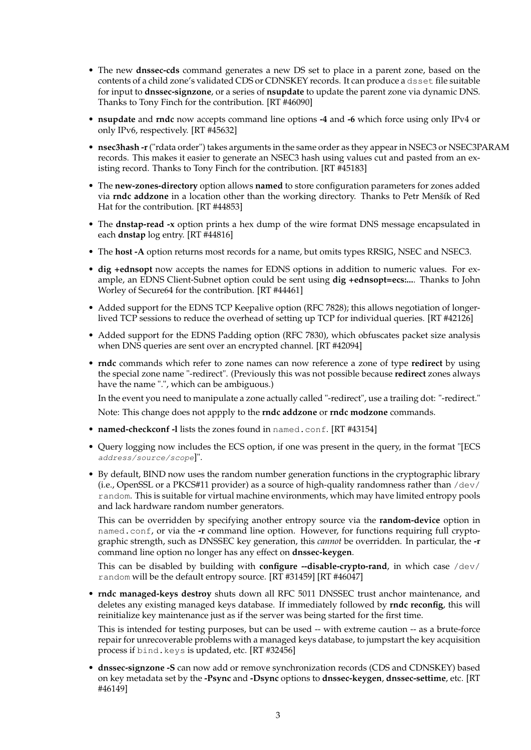- The new **dnssec-cds** command generates a new DS set to place in a parent zone, based on the contents of a child zone's validated CDS or CDNSKEY records. It can produce a dsset file suitable for input to **dnssec-signzone**, or a series of **nsupdate** to update the parent zone via dynamic DNS. Thanks to Tony Finch for the contribution. [RT #46090]
- **nsupdate** and **rndc** now accepts command line options **-4** and **-6** which force using only IPv4 or only IPv6, respectively. [RT #45632]
- **nsec3hash -r**("rdata order") takes arguments in the same order as they appear in NSEC3 or NSEC3PARAM records. This makes it easier to generate an NSEC3 hash using values cut and pasted from an existing record. Thanks to Tony Finch for the contribution. [RT #45183]
- The **new-zones-directory** option allows **named** to store configuration parameters for zones added via **rndc addzone** in a location other than the working directory. Thanks to Petr Menšík of Red Hat for the contribution. [RT #44853]
- The **dnstap-read -x** option prints a hex dump of the wire format DNS message encapsulated in each **dnstap** log entry. [RT #44816]
- The **host -A** option returns most records for a name, but omits types RRSIG, NSEC and NSEC3.
- **dig +ednsopt** now accepts the names for EDNS options in addition to numeric values. For example, an EDNS Client-Subnet option could be sent using **dig +ednsopt=ecs:...**. Thanks to John Worley of Secure64 for the contribution. [RT #44461]
- Added support for the EDNS TCP Keepalive option (RFC 7828); this allows negotiation of longerlived TCP sessions to reduce the overhead of setting up TCP for individual queries. [RT #42126]
- Added support for the EDNS Padding option (RFC 7830), which obfuscates packet size analysis when DNS queries are sent over an encrypted channel. [RT #42094]
- **rndc** commands which refer to zone names can now reference a zone of type **redirect** by using the special zone name "-redirect". (Previously this was not possible because **redirect** zones always have the name ".", which can be ambiguous.)

In the event you need to manipulate a zone actually called "-redirect", use a trailing dot: "-redirect."

Note: This change does not appply to the **rndc addzone** or **rndc modzone** commands.

- **named-checkconf -l** lists the zones found in named.conf. [RT #43154]
- Query logging now includes the ECS option, if one was present in the query, in the format "[ECS address/source/scope]".
- By default, BIND now uses the random number generation functions in the cryptographic library (i.e., OpenSSL or a PKCS#11 provider) as a source of high-quality randomness rather than  $/$ dev $/$ random. This is suitable for virtual machine environments, which may have limited entropy pools and lack hardware random number generators.

This can be overridden by specifying another entropy source via the **random-device** option in named.conf, or via the **-r** command line option. However, for functions requiring full cryptographic strength, such as DNSSEC key generation, this *cannot* be overridden. In particular, the **-r** command line option no longer has any effect on **dnssec-keygen**.

This can be disabled by building with **configure --disable-crypto-rand**, in which case /dev/ random will be the default entropy source. [RT #31459] [RT #46047]

• **rndc managed-keys destroy** shuts down all RFC 5011 DNSSEC trust anchor maintenance, and deletes any existing managed keys database. If immediately followed by **rndc reconfig**, this will reinitialize key maintenance just as if the server was being started for the first time.

This is intended for testing purposes, but can be used -- with extreme caution -- as a brute-force repair for unrecoverable problems with a managed keys database, to jumpstart the key acquisition process if bind.keys is updated, etc. [RT #32456]

• **dnssec-signzone -S** can now add or remove synchronization records (CDS and CDNSKEY) based on key metadata set by the **-Psync** and **-Dsync** options to **dnssec-keygen**, **dnssec-settime**, etc. [RT #46149]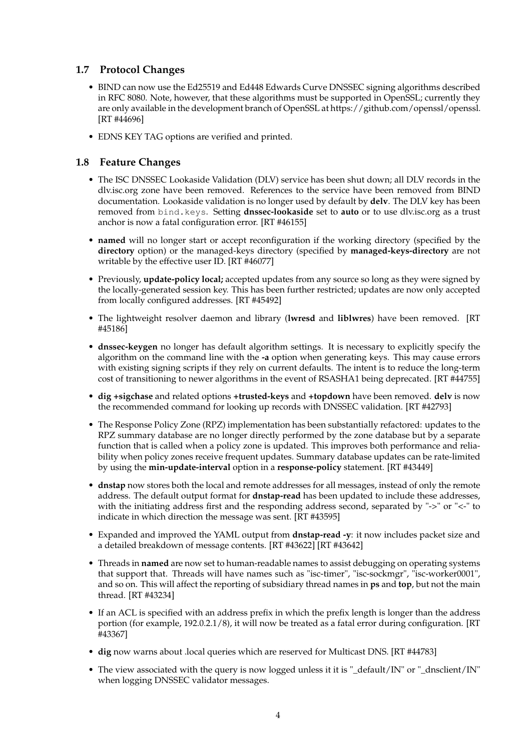## **1.7 Protocol Changes**

- BIND can now use the Ed25519 and Ed448 Edwards Curve DNSSEC signing algorithms described in RFC 8080. Note, however, that these algorithms must be supported in OpenSSL; currently they are only available in the development branch of OpenSSL at https://github.com/openssl/openssl. [RT #44696]
- EDNS KEY TAG options are verified and printed.

## **1.8 Feature Changes**

- The ISC DNSSEC Lookaside Validation (DLV) service has been shut down; all DLV records in the dlv.isc.org zone have been removed. References to the service have been removed from BIND documentation. Lookaside validation is no longer used by default by **delv**. The DLV key has been removed from bind.keys. Setting **dnssec-lookaside** set to **auto** or to use dlv.isc.org as a trust anchor is now a fatal configuration error. [RT #46155]
- **named** will no longer start or accept reconfiguration if the working directory (specified by the **directory** option) or the managed-keys directory (specified by **managed-keys-directory** are not writable by the effective user ID. [RT #46077]
- Previously, **update-policy local;** accepted updates from any source so long as they were signed by the locally-generated session key. This has been further restricted; updates are now only accepted from locally configured addresses. [RT #45492]
- The lightweight resolver daemon and library (**lwresd** and **liblwres**) have been removed. [RT #45186]
- **dnssec-keygen** no longer has default algorithm settings. It is necessary to explicitly specify the algorithm on the command line with the **-a** option when generating keys. This may cause errors with existing signing scripts if they rely on current defaults. The intent is to reduce the long-term cost of transitioning to newer algorithms in the event of RSASHA1 being deprecated. [RT #44755]
- **dig +sigchase** and related options **+trusted-keys** and **+topdown** have been removed. **delv** is now the recommended command for looking up records with DNSSEC validation. [RT #42793]
- The Response Policy Zone (RPZ) implementation has been substantially refactored: updates to the RPZ summary database are no longer directly performed by the zone database but by a separate function that is called when a policy zone is updated. This improves both performance and reliability when policy zones receive frequent updates. Summary database updates can be rate-limited by using the **min-update-interval** option in a **response-policy** statement. [RT #43449]
- **dnstap** now stores both the local and remote addresses for all messages, instead of only the remote address. The default output format for **dnstap-read** has been updated to include these addresses, with the initiating address first and the responding address second, separated by "->" or "<-" to indicate in which direction the message was sent. [RT #43595]
- Expanded and improved the YAML output from **dnstap-read -y**: it now includes packet size and a detailed breakdown of message contents. [RT #43622] [RT #43642]
- Threads in **named** are now set to human-readable names to assist debugging on operating systems that support that. Threads will have names such as "isc-timer", "isc-sockmgr", "isc-worker0001", and so on. This will affect the reporting of subsidiary thread names in **ps** and **top**, but not the main thread. [RT #43234]
- If an ACL is specified with an address prefix in which the prefix length is longer than the address portion (for example, 192.0.2.1/8), it will now be treated as a fatal error during configuration. [RT #43367]
- **dig** now warns about .local queries which are reserved for Multicast DNS. [RT #44783]
- The view associated with the query is now logged unless it it is "\_default/IN" or "\_dnsclient/IN" when logging DNSSEC validator messages.